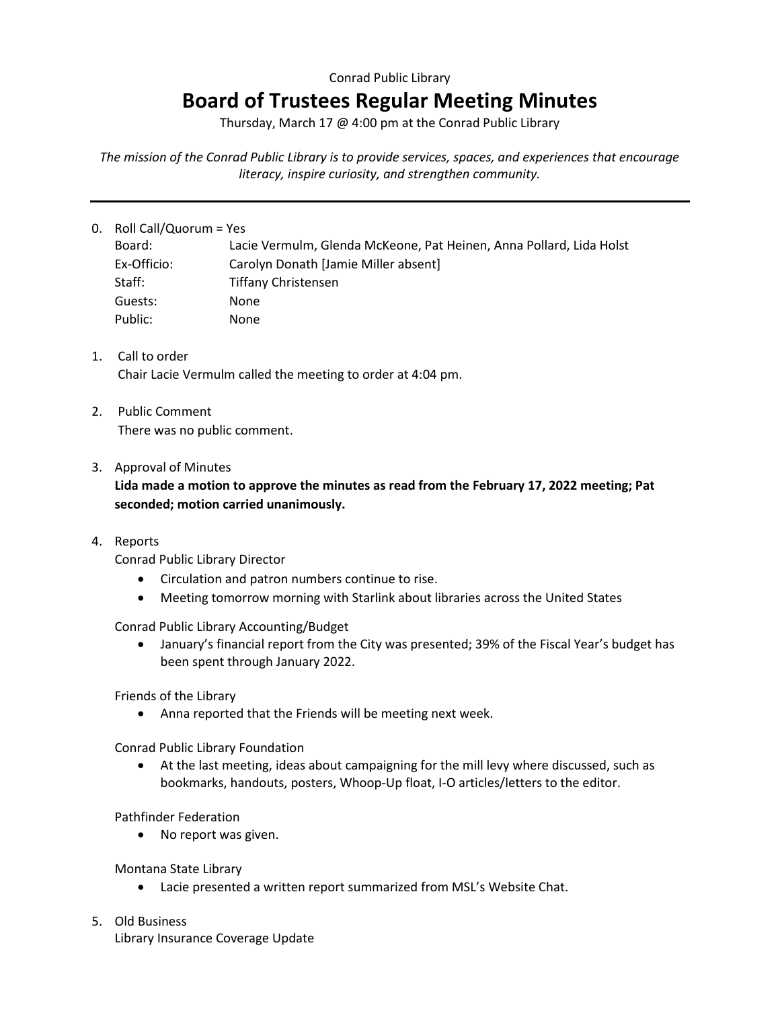## Conrad Public Library

## **Board of Trustees Regular Meeting Minutes**

Thursday, March 17 @ 4:00 pm at the Conrad Public Library

*The mission of the Conrad Public Library is to provide services, spaces, and experiences that encourage literacy, inspire curiosity, and strengthen community.*

## 0. Roll Call/Quorum = Yes

| Board:      | Lacie Vermulm, Glenda McKeone, Pat Heinen, Anna Pollard, Lida Holst |
|-------------|---------------------------------------------------------------------|
| Ex-Officio: | Carolyn Donath [Jamie Miller absent]                                |
| Staff:      | <b>Tiffany Christensen</b>                                          |
| Guests:     | <b>None</b>                                                         |
| Public:     | None                                                                |

- 1. Call to order Chair Lacie Vermulm called the meeting to order at 4:04 pm.
- 2. Public Comment There was no public comment.
- 3. Approval of Minutes

**Lida made a motion to approve the minutes as read from the February 17, 2022 meeting; Pat seconded; motion carried unanimously.**

4. Reports

Conrad Public Library Director

- Circulation and patron numbers continue to rise.
- Meeting tomorrow morning with Starlink about libraries across the United States

Conrad Public Library Accounting/Budget

• January's financial report from the City was presented; 39% of the Fiscal Year's budget has been spent through January 2022.

Friends of the Library

• Anna reported that the Friends will be meeting next week.

Conrad Public Library Foundation

• At the last meeting, ideas about campaigning for the mill levy where discussed, such as bookmarks, handouts, posters, Whoop-Up float, I-O articles/letters to the editor.

Pathfinder Federation

• No report was given.

Montana State Library

- Lacie presented a written report summarized from MSL's Website Chat.
- 5. Old Business Library Insurance Coverage Update